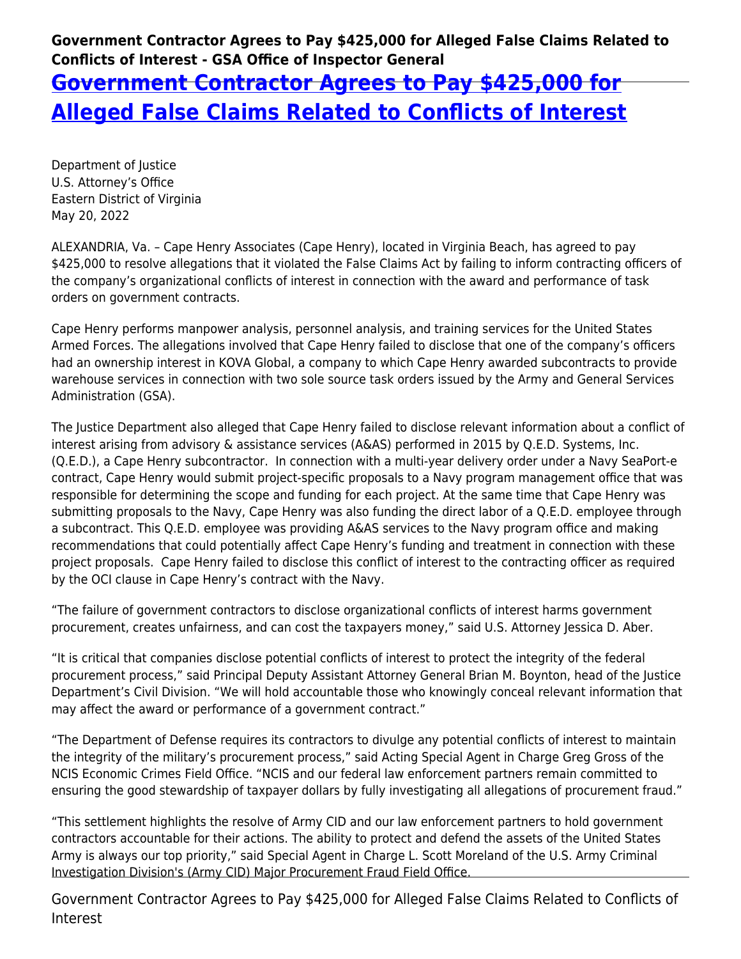**Government Contractor Agrees to Pay \$425,000 for Alleged False Claims Related to Conflicts of Interest - GSA Office of Inspector General**

## **[Government Contractor Agrees to Pay \\$425,000 for](https://www.gsaig.gov/news/government-contractor-agrees-pay-425000-alleged-false-claims-related-conflicts-interest) [Alleged False Claims Related to Conflicts of Interest](https://www.gsaig.gov/news/government-contractor-agrees-pay-425000-alleged-false-claims-related-conflicts-interest)**

Department of Justice U.S. Attorney's Office Eastern District of Virginia May 20, 2022

ALEXANDRIA, Va. – Cape Henry Associates (Cape Henry), located in Virginia Beach, has agreed to pay \$425,000 to resolve allegations that it violated the False Claims Act by failing to inform contracting officers of the company's organizational conflicts of interest in connection with the award and performance of task orders on government contracts.

Cape Henry performs manpower analysis, personnel analysis, and training services for the United States Armed Forces. The allegations involved that Cape Henry failed to disclose that one of the company's officers had an ownership interest in KOVA Global, a company to which Cape Henry awarded subcontracts to provide warehouse services in connection with two sole source task orders issued by the Army and General Services Administration (GSA).

The Justice Department also alleged that Cape Henry failed to disclose relevant information about a conflict of interest arising from advisory & assistance services (A&AS) performed in 2015 by Q.E.D. Systems, Inc. (Q.E.D.), a Cape Henry subcontractor. In connection with a multi-year delivery order under a Navy SeaPort-e contract, Cape Henry would submit project-specific proposals to a Navy program management office that was responsible for determining the scope and funding for each project. At the same time that Cape Henry was submitting proposals to the Navy, Cape Henry was also funding the direct labor of a Q.E.D. employee through a subcontract. This Q.E.D. employee was providing A&AS services to the Navy program office and making recommendations that could potentially affect Cape Henry's funding and treatment in connection with these project proposals. Cape Henry failed to disclose this conflict of interest to the contracting officer as required by the OCI clause in Cape Henry's contract with the Navy.

"The failure of government contractors to disclose organizational conflicts of interest harms government procurement, creates unfairness, and can cost the taxpayers money," said U.S. Attorney Jessica D. Aber.

"It is critical that companies disclose potential conflicts of interest to protect the integrity of the federal procurement process," said Principal Deputy Assistant Attorney General Brian M. Boynton, head of the Justice Department's Civil Division. "We will hold accountable those who knowingly conceal relevant information that may affect the award or performance of a government contract."

"The Department of Defense requires its contractors to divulge any potential conflicts of interest to maintain the integrity of the military's procurement process," said Acting Special Agent in Charge Greg Gross of the NCIS Economic Crimes Field Office. "NCIS and our federal law enforcement partners remain committed to ensuring the good stewardship of taxpayer dollars by fully investigating all allegations of procurement fraud."

"This settlement highlights the resolve of Army CID and our law enforcement partners to hold government contractors accountable for their actions. The ability to protect and defend the assets of the United States Army is always our top priority," said Special Agent in Charge L. Scott Moreland of the U.S. Army Criminal Investigation Division's (Army CID) Major Procurement Fraud Field Office.

Government Contractor Agrees to Pay \$425,000 for Alleged False Claims Related to Conflicts of Interest